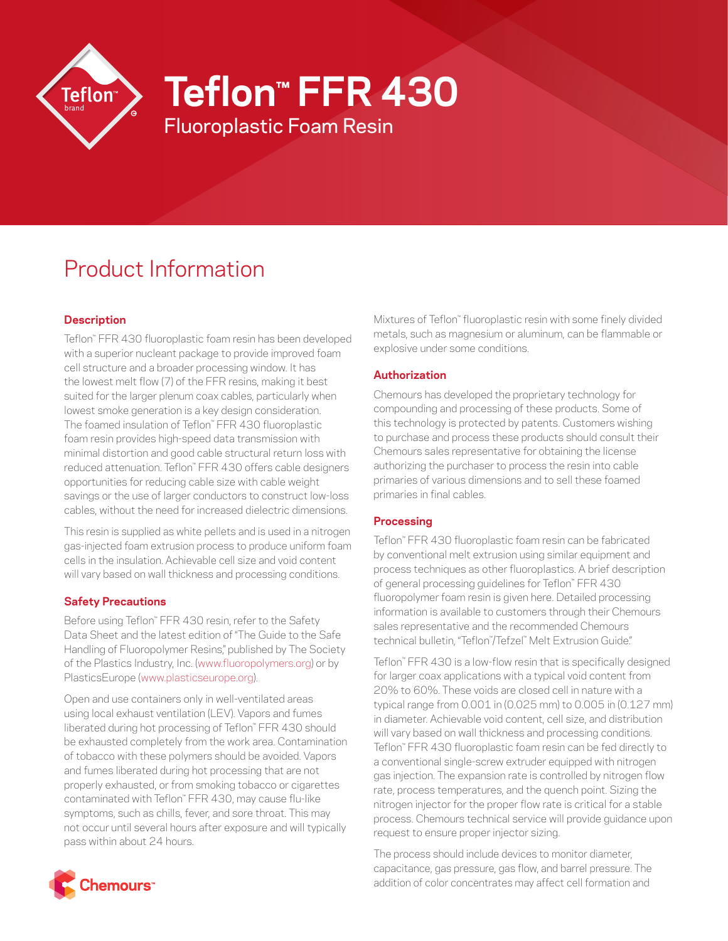

# **Teflon™ FFR 430**

Fluoroplastic Foam Resin

# Product Information

## **Description**

Teflon™ FFR 430 fluoroplastic foam resin has been developed with a superior nucleant package to provide improved foam cell structure and a broader processing window. It has the lowest melt flow (7) of the FFR resins, making it best suited for the larger plenum coax cables, particularly when lowest smoke generation is a key design consideration. The foamed insulation of Teflon™ FFR 430 fluoroplastic foam resin provides high-speed data transmission with minimal distortion and good cable structural return loss with reduced attenuation. Teflon™ FFR 430 offers cable designers opportunities for reducing cable size with cable weight savings or the use of larger conductors to construct low-loss cables, without the need for increased dielectric dimensions.

This resin is supplied as white pellets and is used in a nitrogen gas-injected foam extrusion process to produce uniform foam cells in the insulation. Achievable cell size and void content will vary based on wall thickness and processing conditions.

### **Safety Precautions**

Before using Teflon™ FFR 430 resin, refer to the Safety Data Sheet and the latest edition of "The Guide to the Safe Handling of Fluoropolymer Resins," published by The Society of the Plastics Industry, Inc. [\(www.fluoropolymers.org\)](http://www.fluoropolymers.org) or by PlasticsEurope ([www.plasticseurope.org](http://www.plasticseurope.org)).

Open and use containers only in well-ventilated areas using local exhaust ventilation (LEV). Vapors and fumes liberated during hot processing of Teflon™ FFR 430 should be exhausted completely from the work area. Contamination of tobacco with these polymers should be avoided. Vapors and fumes liberated during hot processing that are not properly exhausted, or from smoking tobacco or cigarettes contaminated with Teflon™ FFR 430, may cause flu-like symptoms, such as chills, fever, and sore throat. This may not occur until several hours after exposure and will typically pass within about 24 hours.

Mixtures of Teflon™ fluoroplastic resin with some finely divided metals, such as magnesium or aluminum, can be flammable or explosive under some conditions.

### **Authorization**

Chemours has developed the proprietary technology for compounding and processing of these products. Some of this technology is protected by patents. Customers wishing to purchase and process these products should consult their Chemours sales representative for obtaining the license authorizing the purchaser to process the resin into cable primaries of various dimensions and to sell these foamed primaries in final cables.

#### **Processing**

Teflon™ FFR 430 fluoroplastic foam resin can be fabricated by conventional melt extrusion using similar equipment and process techniques as other fluoroplastics. A brief description of general processing guidelines for Teflon™ FFR 430 fluoropolymer foam resin is given here. Detailed processing information is available to customers through their Chemours sales representative and the recommended Chemours technical bulletin, "Teflon™ /Tefzel™ Melt Extrusion Guide."

Teflon™ FFR 430 is a low-flow resin that is specifically designed for larger coax applications with a typical void content from 20% to 60%. These voids are closed cell in nature with a typical range from 0.001 in (0.025 mm) to 0.005 in (0.127 mm) in diameter. Achievable void content, cell size, and distribution will vary based on wall thickness and processing conditions. Teflon™ FFR 430 fluoroplastic foam resin can be fed directly to a conventional single-screw extruder equipped with nitrogen gas injection. The expansion rate is controlled by nitrogen flow rate, process temperatures, and the quench point. Sizing the nitrogen injector for the proper flow rate is critical for a stable process. Chemours technical service will provide guidance upon request to ensure proper injector sizing.

The process should include devices to monitor diameter, capacitance, gas pressure, gas flow, and barrel pressure. The addition of color concentrates may affect cell formation and